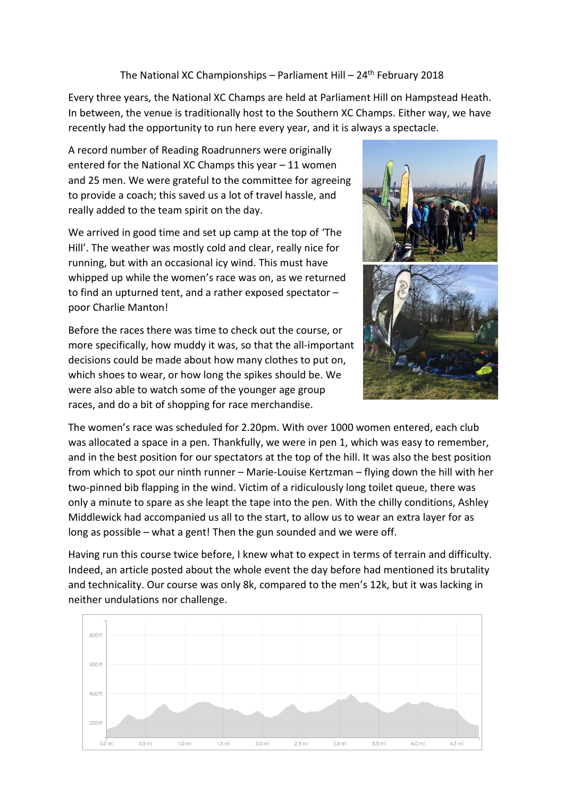## The National XC Championships – Parliament Hill –  $24<sup>th</sup>$  February 2018

Every three years, the National XC Champs are held at Parliament Hill on Hampstead Heath. In between, the venue is traditionally host to the Southern XC Champs. Either way, we have recently had the opportunity to run here every year, and it is always a spectacle.

A record number of Reading Roadrunners were originally entered for the National XC Champs this year – 11 women and 25 men. We were grateful to the committee for agreeing to provide a coach; this saved us a lot of travel hassle, and really added to the team spirit on the day.

We arrived in good time and set up camp at the top of 'The Hill'. The weather was mostly cold and clear, really nice for running, but with an occasional icy wind. This must have whipped up while the women's race was on, as we returned to find an upturned tent, and a rather exposed spectator – poor Charlie Manton!

Before the races there was time to check out the course, or more specifically, how muddy it was, so that the all-important decisions could be made about how many clothes to put on, which shoes to wear, or how long the spikes should be. We were also able to watch some of the younger age group races, and do a bit of shopping for race merchandise.



The women's race was scheduled for 2.20pm. With over 1000 women entered, each club was allocated a space in a pen. Thankfully, we were in pen 1, which was easy to remember, and in the best position for our spectators at the top of the hill. It was also the best position from which to spot our ninth runner – Marie-Louise Kertzman – flying down the hill with her two-pinned bib flapping in the wind. Victim of a ridiculously long toilet queue, there was only a minute to spare as she leapt the tape into the pen. With the chilly conditions, Ashley Middlewick had accompanied us all to the start, to allow us to wear an extra layer for as long as possible – what a gent! Then the gun sounded and we were off.

Having run this course twice before, I knew what to expect in terms of terrain and difficulty. Indeed, an article posted about the whole event the day before had mentioned its brutality and technicality. Our course was only 8k, compared to the men's 12k, but it was lacking in neither undulations nor challenge.

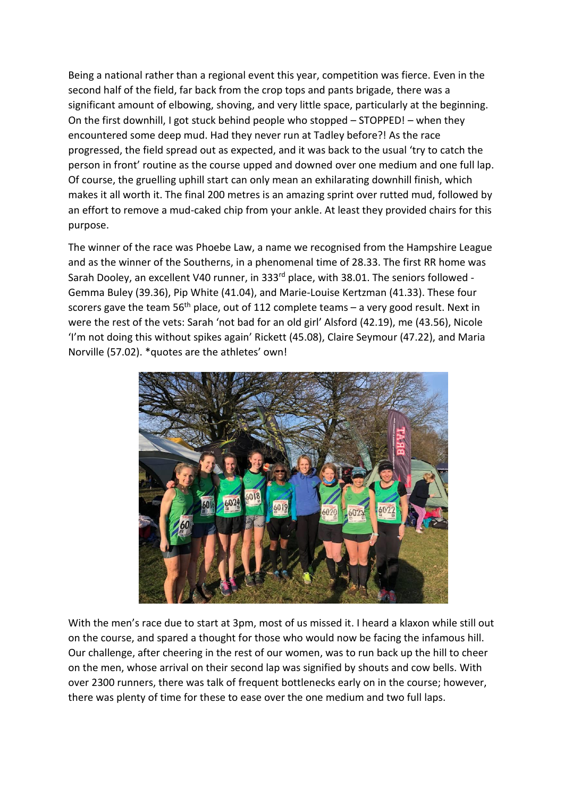Being a national rather than a regional event this year, competition was fierce. Even in the second half of the field, far back from the crop tops and pants brigade, there was a significant amount of elbowing, shoving, and very little space, particularly at the beginning. On the first downhill, I got stuck behind people who stopped – STOPPED! – when they encountered some deep mud. Had they never run at Tadley before?! As the race progressed, the field spread out as expected, and it was back to the usual 'try to catch the person in front' routine as the course upped and downed over one medium and one full lap. Of course, the gruelling uphill start can only mean an exhilarating downhill finish, which makes it all worth it. The final 200 metres is an amazing sprint over rutted mud, followed by an effort to remove a mud-caked chip from your ankle. At least they provided chairs for this purpose.

The winner of the race was Phoebe Law, a name we recognised from the Hampshire League and as the winner of the Southerns, in a phenomenal time of 28.33. The first RR home was Sarah Dooley, an excellent V40 runner, in 333<sup>rd</sup> place, with 38.01. The seniors followed -Gemma Buley (39.36), Pip White (41.04), and Marie-Louise Kertzman (41.33). These four scorers gave the team 56<sup>th</sup> place, out of 112 complete teams – a very good result. Next in were the rest of the vets: Sarah 'not bad for an old girl' Alsford (42.19), me (43.56), Nicole 'I'm not doing this without spikes again' Rickett (45.08), Claire Seymour (47.22), and Maria Norville (57.02). \*quotes are the athletes' own!



With the men's race due to start at 3pm, most of us missed it. I heard a klaxon while still out on the course, and spared a thought for those who would now be facing the infamous hill. Our challenge, after cheering in the rest of our women, was to run back up the hill to cheer on the men, whose arrival on their second lap was signified by shouts and cow bells. With over 2300 runners, there was talk of frequent bottlenecks early on in the course; however, there was plenty of time for these to ease over the one medium and two full laps.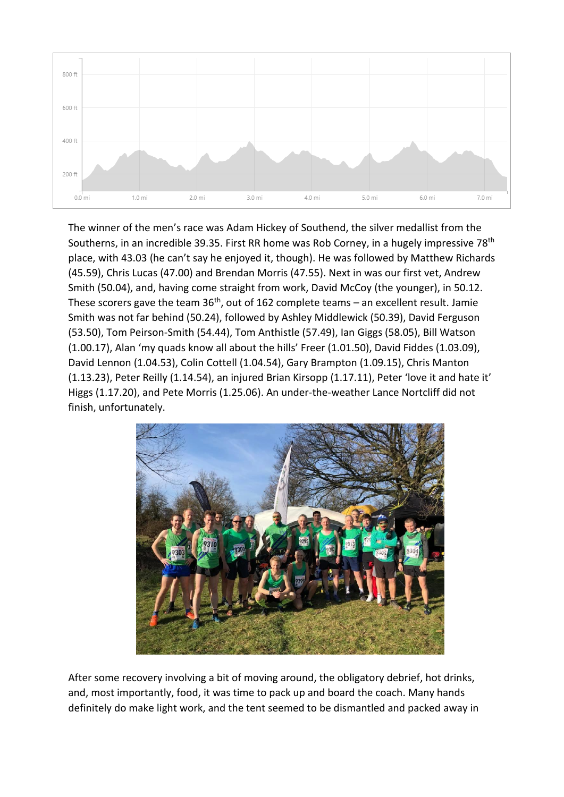

The winner of the men's race was Adam Hickey of Southend, the silver medallist from the Southerns, in an incredible 39.35. First RR home was Rob Corney, in a hugely impressive 78<sup>th</sup> place, with 43.03 (he can't say he enjoyed it, though). He was followed by Matthew Richards (45.59), Chris Lucas (47.00) and Brendan Morris (47.55). Next in was our first vet, Andrew Smith (50.04), and, having come straight from work, David McCoy (the younger), in 50.12. These scorers gave the team  $36<sup>th</sup>$ , out of 162 complete teams – an excellent result. Jamie Smith was not far behind (50.24), followed by Ashley Middlewick (50.39), David Ferguson (53.50), Tom Peirson-Smith (54.44), Tom Anthistle (57.49), Ian Giggs (58.05), Bill Watson (1.00.17), Alan 'my quads know all about the hills' Freer (1.01.50), David Fiddes (1.03.09), David Lennon (1.04.53), Colin Cottell (1.04.54), Gary Brampton (1.09.15), Chris Manton (1.13.23), Peter Reilly (1.14.54), an injured Brian Kirsopp (1.17.11), Peter 'love it and hate it' Higgs (1.17.20), and Pete Morris (1.25.06). An under-the-weather Lance Nortcliff did not finish, unfortunately.



After some recovery involving a bit of moving around, the obligatory debrief, hot drinks, and, most importantly, food, it was time to pack up and board the coach. Many hands definitely do make light work, and the tent seemed to be dismantled and packed away in